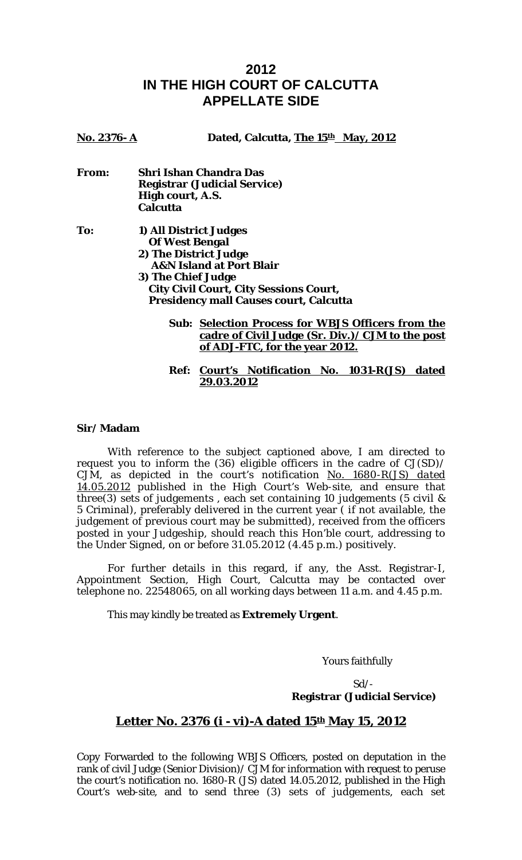## **2012 IN THE HIGH COURT OF CALCUTTA APPELLATE SIDE**

| No. 2376-A | Dated, Calcutta, The 15th May, 2012                          |
|------------|--------------------------------------------------------------|
| From:      | <b>Shri Ishan Chandra Das</b>                                |
|            | <b>Registrar (Judicial Service)</b>                          |
|            | High court, A.S.                                             |
|            | <b>Calcutta</b>                                              |
| To:        | 1) All District Judges                                       |
|            | <b>Of West Bengal</b>                                        |
|            | 2) The District Judge<br><b>A&amp;N Island at Port Blair</b> |
|            | 3) The Chief Judge                                           |
|            | <b>City Civil Court, City Sessions Court,</b>                |
|            | <b>Presidency mall Causes court, Calcutta</b>                |
|            | <b>Sub: Selection Process for WBJS Officers from the</b>     |
|            | <u>cadre of Civil Judge (Sr. Div.) / CJM to the post</u>     |
|            | of ADJ-FTC, for the year 2012.                               |

**Ref: Court's Notification No. 1031-R(JS) dated 29.03.2012**

## **Sir/ Madam**

With reference to the subject captioned above, I am directed to request you to inform the (36) eligible officers in the cadre of CJ(SD)/ CJM, as depicted in the court's notification *No. 1680-R(JS) dated 14.05.2012* published in the High Court's Web-site, and ensure that three(3) sets of judgements , each set containing 10 judgements (5 civil & 5 Criminal), preferably delivered in the current year ( if not available, the judgement of previous court may be submitted), received from the officers posted in your Judgeship, should reach this Hon'ble court, addressing to the Under Signed, on or before 31.05.2012 (4.45 p.m.) positively.

 For further details in this regard, if any, the Asst. Registrar-I, Appointment Section, High Court, Calcutta may be contacted over telephone no. 22548065, on all working days between 11 a.m. and 4.45 p.m.

This may kindly be treated as **Extremely Urgent**.

Yours faithfully

 $Sd$ -**Registrar (Judicial Service)** 

## Letter No. 2376 (i - vi)-A dated 15<sup>th</sup> May 15, 2012

Copy Forwarded to the following WBJS Officers, posted on deputation in the rank of civil Judge (Senior Division)/ CJM for information with request to peruse the court's notification no. 1680-R (JS) dated 14.05.2012, published in the High Court's web-site, and to send three (3) sets of judgements, each set